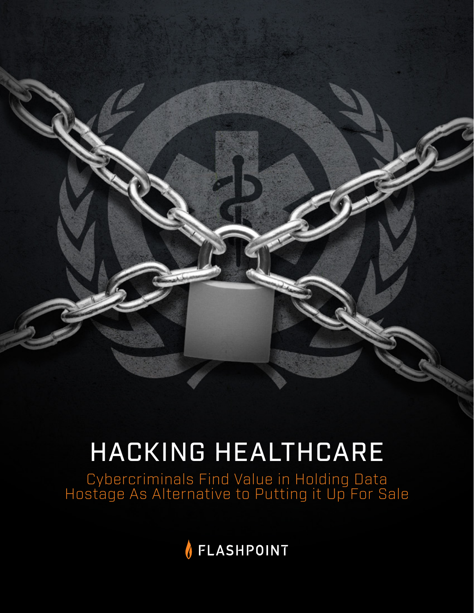

# HACKING HEALTHCARE

Cybercriminals Find Value in Holding Data Hostage As Alternative to Putting it Up For Sale

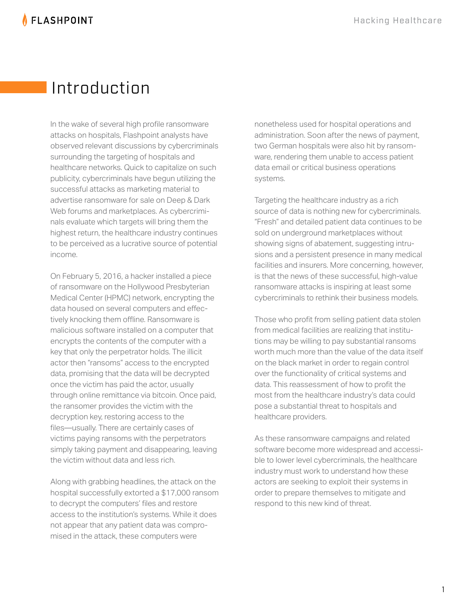**AFLASHPOINT** 

# Introduction

In the wake of several high profile ransomware attacks on hospitals, Flashpoint analysts have observed relevant discussions by cybercriminals surrounding the targeting of hospitals and healthcare networks. Quick to capitalize on such publicity, cybercriminals have begun utilizing the successful attacks as marketing material to advertise ransomware for sale on Deep & Dark Web forums and marketplaces. As cybercriminals evaluate which targets will bring them the highest return, the healthcare industry continues to be perceived as a lucrative source of potential income.

On February 5, 2016, a hacker installed a piece of ransomware on the Hollywood Presbyterian Medical Center (HPMC) network, encrypting the data housed on several computers and effectively knocking them offline. Ransomware is malicious software installed on a computer that encrypts the contents of the computer with a key that only the perpetrator holds. The illicit actor then "ransoms" access to the encrypted data, promising that the data will be decrypted once the victim has paid the actor, usually through online remittance via bitcoin. Once paid, the ransomer provides the victim with the decryption key, restoring access to the files―usually. There are certainly cases of victims paying ransoms with the perpetrators simply taking payment and disappearing, leaving the victim without data and less rich.

Along with grabbing headlines, the attack on the hospital successfully extorted a \$17,000 ransom to decrypt the computers' files and restore access to the institution's systems. While it does not appear that any patient data was compromised in the attack, these computers were

nonetheless used for hospital operations and administration. Soon after the news of payment, two German hospitals were also hit by ransomware, rendering them unable to access patient data email or critical business operations systems.

Targeting the healthcare industry as a rich source of data is nothing new for cybercriminals. "Fresh" and detailed patient data continues to be sold on underground marketplaces without showing signs of abatement, suggesting intrusions and a persistent presence in many medical facilities and insurers. More concerning, however, is that the news of these successful, high-value ransomware attacks is inspiring at least some cybercriminals to rethink their business models.

Those who profit from selling patient data stolen from medical facilities are realizing that institutions may be willing to pay substantial ransoms worth much more than the value of the data itself on the black market in order to regain control over the functionality of critical systems and data. This reassessment of how to profit the most from the healthcare industry's data could pose a substantial threat to hospitals and healthcare providers.

As these ransomware campaigns and related software become more widespread and accessible to lower level cybercriminals, the healthcare industry must work to understand how these actors are seeking to exploit their systems in order to prepare themselves to mitigate and respond to this new kind of threat.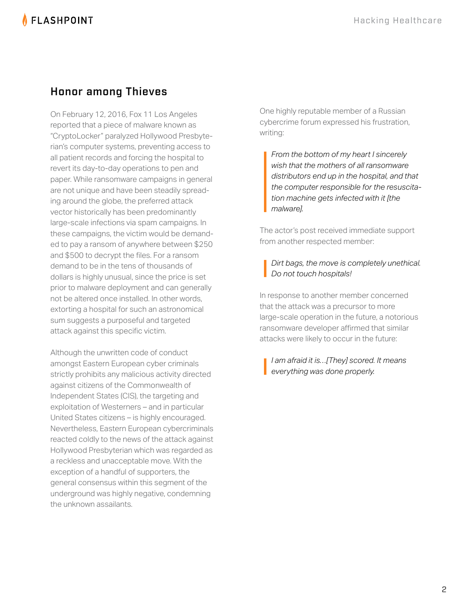#### Honor among Thieves

On February 12, 2016, Fox 11 Los Angeles reported that a piece of malware known as "CryptoLocker" paralyzed Hollywood Presbyterian's computer systems, preventing access to all patient records and forcing the hospital to revert its day-to-day operations to pen and paper. While ransomware campaigns in general are not unique and have been steadily spreading around the globe, the preferred attack vector historically has been predominantly large-scale infections via spam campaigns. In these campaigns, the victim would be demanded to pay a ransom of anywhere between \$250 and \$500 to decrypt the files. For a ransom demand to be in the tens of thousands of dollars is highly unusual, since the price is set prior to malware deployment and can generally not be altered once installed. In other words, extorting a hospital for such an astronomical sum suggests a purposeful and targeted attack against this specific victim.

Although the unwritten code of conduct amongst Eastern European cyber criminals strictly prohibits any malicious activity directed against citizens of the Commonwealth of Independent States (CIS), the targeting and exploitation of Westerners – and in particular United States citizens – is highly encouraged. Nevertheless, Eastern European cybercriminals reacted coldly to the news of the attack against Hollywood Presbyterian which was regarded as a reckless and unacceptable move. With the exception of a handful of supporters, the general consensus within this segment of the underground was highly negative, condemning the unknown assailants.

One highly reputable member of a Russian cybercrime forum expressed his frustration, writing:

*From the bottom of my heart I sincerely wish that the mothers of all ransomware distributors end up in the hospital, and that the computer responsible for the resuscitation machine gets infected with it [the malware].*

The actor's post received immediate support from another respected member:

*Dirt bags, the move is completely unethical. Do not touch hospitals!*

In response to another member concerned that the attack was a precursor to more large-scale operation in the future, a notorious ransomware developer affirmed that similar attacks were likely to occur in the future:

*I am afraid it is…[They] scored. It means everything was done properly.*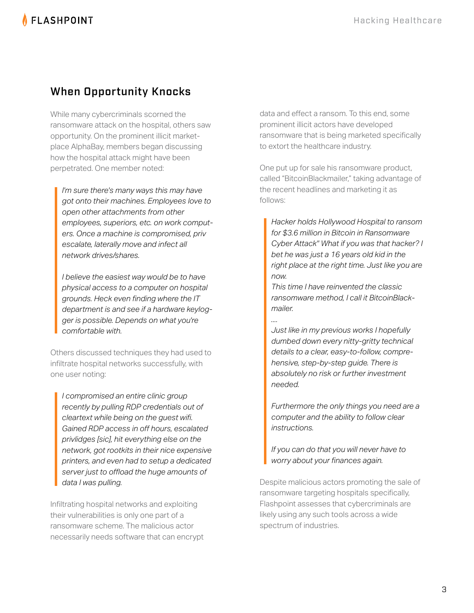### When Opportunity Knocks

While many cybercriminals scorned the ransomware attack on the hospital, others saw opportunity. On the prominent illicit marketplace AlphaBay, members began discussing how the hospital attack might have been perpetrated. One member noted:

*I'm sure there's many ways this may have got onto their machines. Employees love to open other attachments from other employees, superiors, etc. on work computers. Once a machine is compromised, priv escalate, laterally move and infect all network drives/shares.*

*I believe the easiest way would be to have physical access to a computer on hospital grounds. Heck even finding where the IT department is and see if a hardware keylogger is possible. Depends on what you're comfortable with.* 

Others discussed techniques they had used to infiltrate hospital networks successfully, with one user noting:

*I compromised an entire clinic group recently by pulling RDP credentials out of cleartext while being on the guest wifi. Gained RDP access in off hours, escalated privlidges [sic], hit everything else on the network, got rootkits in their nice expensive printers, and even had to setup a dedicated server just to offload the huge amounts of data I was pulling.*

Infiltrating hospital networks and exploiting their vulnerabilities is only one part of a ransomware scheme. The malicious actor necessarily needs software that can encrypt

data and effect a ransom. To this end, some prominent illicit actors have developed ransomware that is being marketed specifically to extort the healthcare industry.

One put up for sale his ransomware product, called "BitcoinBlackmailer," taking advantage of the recent headlines and marketing it as follows:

*Hacker holds Hollywood Hospital to ransom for \$3.6 million in Bitcoin in Ransomware Cyber Attack" What if you was that hacker? I bet he was just a 16 years old kid in the right place at the right time. Just like you are now.* 

*This time I have reinvented the classic ransomware method, I call it BitcoinBlackmailer.* 

*.... Just like in my previous works I hopefully dumbed down every nitty-gritty technical details to a clear, easy-to-follow, comprehensive, step-by-step guide. There is absolutely no risk or further investment needed.*

*Furthermore the only things you need are a computer and the ability to follow clear instructions.* 

*If you can do that you will never have to worry about your finances again.* 

Despite malicious actors promoting the sale of ransomware targeting hospitals specifically, Flashpoint assesses that cybercriminals are likely using any such tools across a wide spectrum of industries.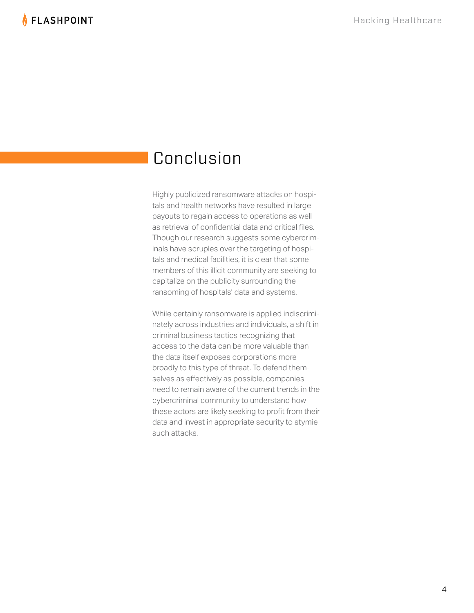## Conclusion

Highly publicized ransomware attacks on hospitals and health networks have resulted in large payouts to regain access to operations as well as retrieval of confidential data and critical files. Though our research suggests some cybercriminals have scruples over the targeting of hospitals and medical facilities, it is clear that some members of this illicit community are seeking to capitalize on the publicity surrounding the ransoming of hospitals' data and systems.

While certainly ransomware is applied indiscriminately across industries and individuals, a shift in criminal business tactics recognizing that access to the data can be more valuable than the data itself exposes corporations more broadly to this type of threat. To defend themselves as effectively as possible, companies need to remain aware of the current trends in the cybercriminal community to understand how these actors are likely seeking to profit from their data and invest in appropriate security to stymie such attacks.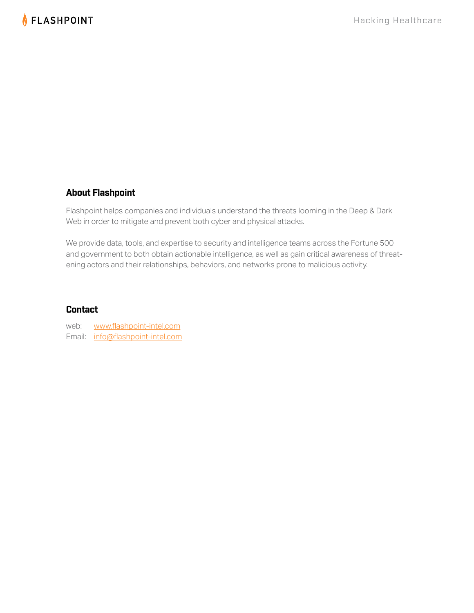#### **About Flashpoint**

Flashpoint helps companies and individuals understand the threats looming in the Deep & Dark Web in order to mitigate and prevent both cyber and physical attacks.

We provide data, tools, and expertise to security and intelligence teams across the Fortune 500 and government to both obtain actionable intelligence, as well as gain critical awareness of threatening actors and their relationships, behaviors, and networks prone to malicious activity.

#### **Contact**

web: www.flashpoint-intel.com Email: info@flashpoint-intel.com